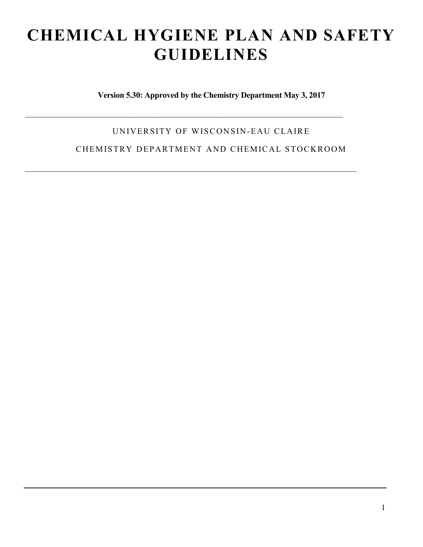# **CHEMICAL HYGIENE PLAN AND SAFETY GUIDELINES**

**Version 5.30: Approved by the Chemistry Department May 3, 2017**

UNIVERSITY OF WISCONSIN-EAU CLAIRE

 $\mathcal{L}_\mathcal{L} = \mathcal{L}_\mathcal{L} = \mathcal{L}_\mathcal{L} = \mathcal{L}_\mathcal{L} = \mathcal{L}_\mathcal{L} = \mathcal{L}_\mathcal{L} = \mathcal{L}_\mathcal{L} = \mathcal{L}_\mathcal{L} = \mathcal{L}_\mathcal{L} = \mathcal{L}_\mathcal{L} = \mathcal{L}_\mathcal{L} = \mathcal{L}_\mathcal{L} = \mathcal{L}_\mathcal{L} = \mathcal{L}_\mathcal{L} = \mathcal{L}_\mathcal{L} = \mathcal{L}_\mathcal{L} = \mathcal{L}_\mathcal{L}$ 

 $\mathcal{L}_\mathcal{L} = \{ \mathcal{L}_\mathcal{L} = \{ \mathcal{L}_\mathcal{L} = \{ \mathcal{L}_\mathcal{L} = \{ \mathcal{L}_\mathcal{L} = \{ \mathcal{L}_\mathcal{L} = \{ \mathcal{L}_\mathcal{L} = \{ \mathcal{L}_\mathcal{L} = \{ \mathcal{L}_\mathcal{L} = \{ \mathcal{L}_\mathcal{L} = \{ \mathcal{L}_\mathcal{L} = \{ \mathcal{L}_\mathcal{L} = \{ \mathcal{L}_\mathcal{L} = \{ \mathcal{L}_\mathcal{L} = \{ \mathcal{L}_\mathcal{$ 

CHEMISTRY DEPARTMENT AND CHEMICAL STOCKROOM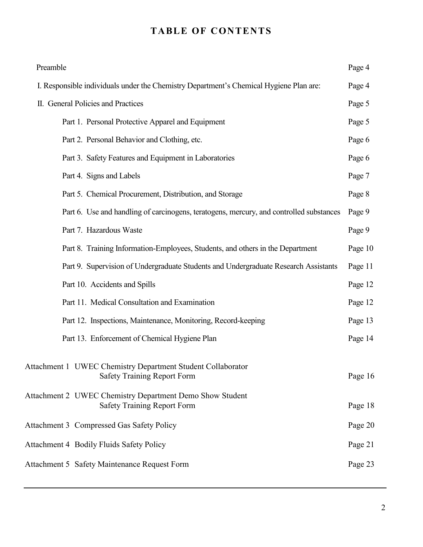## **TABLE OF CONTENTS**

| Preamble |                                                                                                   | Page 4  |
|----------|---------------------------------------------------------------------------------------------------|---------|
|          | I. Responsible individuals under the Chemistry Department's Chemical Hygiene Plan are:            | Page 4  |
|          | II. General Policies and Practices                                                                | Page 5  |
|          | Part 1. Personal Protective Apparel and Equipment                                                 | Page 5  |
|          | Part 2. Personal Behavior and Clothing, etc.                                                      | Page 6  |
|          | Part 3. Safety Features and Equipment in Laboratories                                             | Page 6  |
|          | Part 4. Signs and Labels                                                                          | Page 7  |
|          | Part 5. Chemical Procurement, Distribution, and Storage                                           | Page 8  |
|          | Part 6. Use and handling of carcinogens, teratogens, mercury, and controlled substances           | Page 9  |
|          | Part 7. Hazardous Waste                                                                           | Page 9  |
|          | Part 8. Training Information-Employees, Students, and others in the Department                    | Page 10 |
|          | Part 9. Supervision of Undergraduate Students and Undergraduate Research Assistants               | Page 11 |
|          | Part 10. Accidents and Spills                                                                     | Page 12 |
|          | Part 11. Medical Consultation and Examination                                                     | Page 12 |
|          | Part 12. Inspections, Maintenance, Monitoring, Record-keeping                                     | Page 13 |
|          | Part 13. Enforcement of Chemical Hygiene Plan                                                     | Page 14 |
|          | Attachment 1 UWEC Chemistry Department Student Collaborator<br><b>Safety Training Report Form</b> | Page 16 |
|          | Attachment 2 UWEC Chemistry Department Demo Show Student<br><b>Safety Training Report Form</b>    | Page 18 |
|          | <b>Attachment 3 Compressed Gas Safety Policy</b>                                                  | Page 20 |
|          | <b>Attachment 4 Bodily Fluids Safety Policy</b>                                                   | Page 21 |
|          | <b>Attachment 5 Safety Maintenance Request Form</b>                                               | Page 23 |
|          |                                                                                                   |         |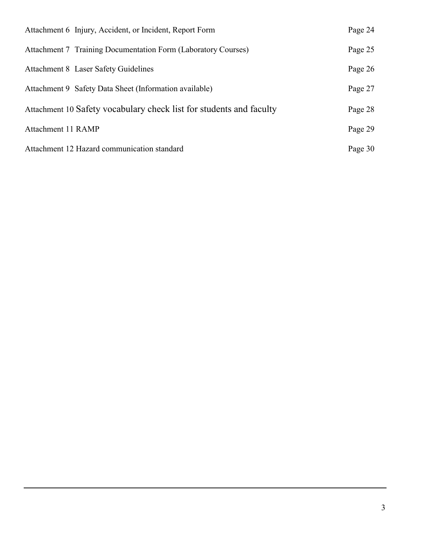| Attachment 6 Injury, Accident, or Incident, Report Form             | Page 24 |
|---------------------------------------------------------------------|---------|
| Attachment 7 Training Documentation Form (Laboratory Courses)       | Page 25 |
| Attachment 8 Laser Safety Guidelines                                | Page 26 |
| Attachment 9 Safety Data Sheet (Information available)              | Page 27 |
| Attachment 10 Safety vocabulary check list for students and faculty | Page 28 |
| Attachment 11 RAMP                                                  | Page 29 |
| Attachment 12 Hazard communication standard                         | Page 30 |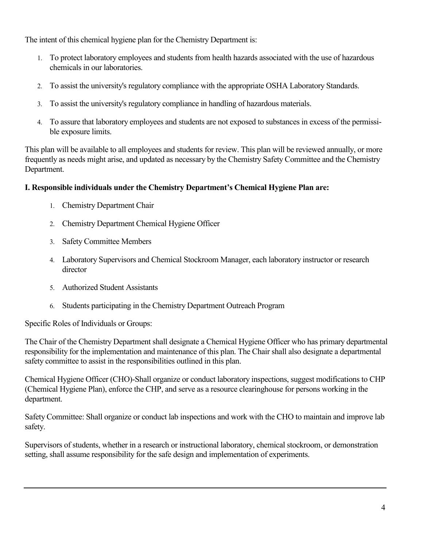The intent of this chemical hygiene plan for the Chemistry Department is:

- 1. To protect laboratory employees and students from health hazards associated with the use of hazardous chemicals in our laboratories.
- 2. To assist the university's regulatory compliance with the appropriate OSHA Laboratory Standards.
- 3. To assist the university's regulatory compliance in handling of hazardous materials.
- 4. To assure that laboratory employees and students are not exposed to substances in excess of the permissible exposure limits.

This plan will be available to all employees and students for review. This plan will be reviewed annually, or more frequently as needs might arise, and updated as necessary by the Chemistry Safety Committee and the Chemistry Department.

#### **I. Responsible individuals under the Chemistry Department's Chemical Hygiene Plan are:**

- 1. Chemistry Department Chair
- 2. Chemistry Department Chemical Hygiene Officer
- 3. Safety Committee Members
- 4. Laboratory Supervisors and Chemical Stockroom Manager, each laboratory instructor or research director
- 5. Authorized Student Assistants
- 6. Students participating in the Chemistry Department Outreach Program

Specific Roles of Individuals or Groups:

The Chair of the Chemistry Department shall designate a Chemical Hygiene Officer who has primary departmental responsibility for the implementation and maintenance of this plan. The Chair shall also designate a departmental safety committee to assist in the responsibilities outlined in this plan.

Chemical Hygiene Officer (CHO)-Shall organize or conduct laboratory inspections, suggest modifications to CHP (Chemical Hygiene Plan), enforce the CHP, and serve as a resource clearinghouse for persons working in the department.

Safety Committee: Shall organize or conduct lab inspections and work with the CHO to maintain and improve lab safety.

Supervisors of students, whether in a research or instructional laboratory, chemical stockroom, or demonstration setting, shall assume responsibility for the safe design and implementation of experiments.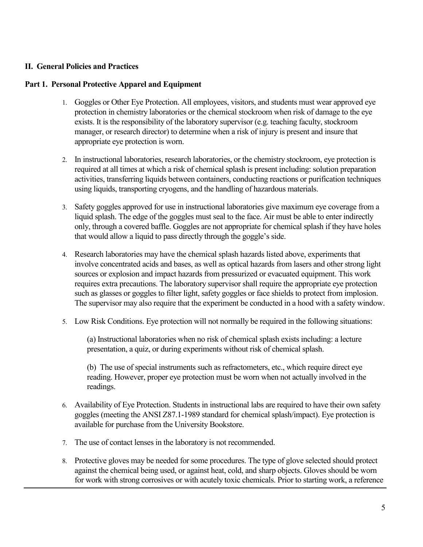#### **II. General Policies and Practices**

#### **Part 1. Personal Protective Apparel and Equipment**

- 1. Goggles or Other Eye Protection. All employees, visitors, and students must wear approved eye protection in chemistry laboratories or the chemical stockroom when risk of damage to the eye exists. It is the responsibility of the laboratory supervisor (e.g. teaching faculty, stockroom manager, or research director) to determine when a risk of injury is present and insure that appropriate eye protection is worn.
- 2. In instructional laboratories, research laboratories, or the chemistry stockroom, eye protection is required at all times at which a risk of chemical splash is present including: solution preparation activities, transferring liquids between containers, conducting reactions or purification techniques using liquids, transporting cryogens, and the handling of hazardous materials.
- 3. Safety goggles approved for use in instructional laboratories give maximum eye coverage from a liquid splash. The edge of the goggles must seal to the face. Air must be able to enter indirectly only, through a covered baffle. Goggles are not appropriate for chemical splash if they have holes that would allow a liquid to pass directly through the goggle's side.
- 4. Research laboratories may have the chemical splash hazards listed above, experiments that involve concentrated acids and bases, as well as optical hazards from lasers and other strong light sources or explosion and impact hazards from pressurized or evacuated equipment. This work requires extra precautions. The laboratory supervisor shall require the appropriate eye protection such as glasses or goggles to filter light, safety goggles or face shields to protect from implosion. The supervisor may also require that the experiment be conducted in a hood with a safety window.
- 5. Low Risk Conditions. Eye protection will not normally be required in the following situations:

(a) Instructional laboratories when no risk of chemical splash exists including: a lecture presentation, a quiz, or during experiments without risk of chemical splash.

(b) The use of special instruments such as refractometers, etc., which require direct eye reading. However, proper eye protection must be worn when not actually involved in the readings.

- 6. Availability of Eye Protection. Students in instructional labs are required to have their own safety goggles (meeting the ANSI Z87.1-1989 standard for chemical splash/impact). Eye protection is available for purchase from the University Bookstore.
- 7. The use of contact lenses in the laboratory is not recommended.
- 8. Protective gloves may be needed for some procedures. The type of glove selected should protect against the chemical being used, or against heat, cold, and sharp objects. Gloves should be worn for work with strong corrosives or with acutely toxic chemicals. Prior to starting work, a reference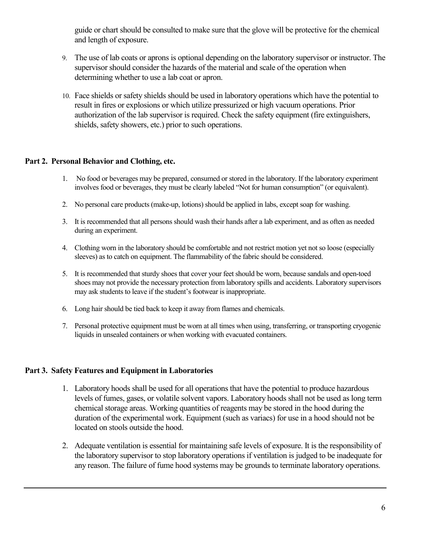guide or chart should be consulted to make sure that the glove will be protective for the chemical and length of exposure.

- 9. The use of lab coats or aprons is optional depending on the laboratory supervisor or instructor. The supervisor should consider the hazards of the material and scale of the operation when determining whether to use a lab coat or apron.
- 10. Face shields or safety shields should be used in laboratory operations which have the potential to result in fires or explosions or which utilize pressurized or high vacuum operations. Prior authorization of the lab supervisor is required. Check the safety equipment (fire extinguishers, shields, safety showers, etc.) prior to such operations.

#### **Part 2. Personal Behavior and Clothing, etc.**

- 1. No food or beverages may be prepared, consumed or stored in the laboratory. If the laboratory experiment involves food or beverages, they must be clearly labeled "Not for human consumption" (or equivalent).
- 2. No personal care products (make-up, lotions) should be applied in labs, except soap for washing.
- 3. It is recommended that all persons should wash their hands after a lab experiment, and as often as needed during an experiment.
- 4. Clothing worn in the laboratory should be comfortable and not restrict motion yet not so loose (especially sleeves) as to catch on equipment. The flammability of the fabric should be considered.
- 5. It is recommended that sturdy shoes that cover your feet should be worn, because sandals and open-toed shoes may not provide the necessary protection from laboratory spills and accidents. Laboratory supervisors may ask students to leave if the student's footwear is inappropriate.
- 6. Long hair should be tied back to keep it away from flames and chemicals.
- 7. Personal protective equipment must be worn at all times when using, transferring, or transporting cryogenic liquids in unsealed containers or when working with evacuated containers.

#### **Part 3. Safety Features and Equipment in Laboratories**

- 1. Laboratory hoods shall be used for all operations that have the potential to produce hazardous levels of fumes, gases, or volatile solvent vapors. Laboratory hoods shall not be used as long term chemical storage areas. Working quantities of reagents may be stored in the hood during the duration of the experimental work. Equipment (such as variacs) for use in a hood should not be located on stools outside the hood.
- 2. Adequate ventilation is essential for maintaining safe levels of exposure. It is the responsibility of the laboratory supervisor to stop laboratory operations if ventilation is judged to be inadequate for any reason. The failure of fume hood systems may be grounds to terminate laboratory operations.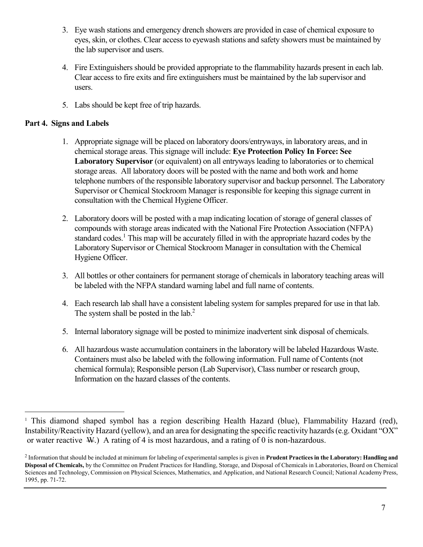- 3. Eye wash stations and emergency drench showers are provided in case of chemical exposure to eyes, skin, or clothes. Clear access to eyewash stations and safety showers must be maintained by the lab supervisor and users.
- 4. Fire Extinguishers should be provided appropriate to the flammability hazards present in each lab. Clear access to fire exits and fire extinguishers must be maintained by the lab supervisor and users.
- 5. Labs should be kept free of trip hazards.

#### **Part 4. Signs and Labels**

- 1. Appropriate signage will be placed on laboratory doors/entryways, in laboratory areas, and in chemical storage areas. This signage will include: **Eye Protection Policy In Force: See Laboratory Supervisor** (or equivalent) on all entryways leading to laboratories or to chemical storage areas. All laboratory doors will be posted with the name and both work and home telephone numbers of the responsible laboratory supervisor and backup personnel. The Laboratory Supervisor or Chemical Stockroom Manager is responsible for keeping this signage current in consultation with the Chemical Hygiene Officer.
- 2. Laboratory doors will be posted with a map indicating location of storage of general classes of compounds with storage areas indicated with the National Fire Protection Association (NFPA) standard codes.<sup>1</sup> This map will be accurately filled in with the appropriate hazard codes by the Laboratory Supervisor or Chemical Stockroom Manager in consultation with the Chemical Hygiene Officer.
- 3. All bottles or other containers for permanent storage of chemicals in laboratory teaching areas will be labeled with the NFPA standard warning label and full name of contents.
- 4. Each research lab shall have a consistent labeling system for samples prepared for use in that lab. The system shall be posted in the lab.<sup>2</sup>
- 5. Internal laboratory signage will be posted to minimize inadvertent sink disposal of chemicals.
- 6. All hazardous waste accumulation containers in the laboratory will be labeled Hazardous Waste. Containers must also be labeled with the following information. Full name of Contents (not chemical formula); Responsible person (Lab Supervisor), Class number or research group, Information on the hazard classes of the contents.

<sup>&</sup>lt;sup>1</sup> This diamond shaped symbol has a region describing Health Hazard (blue), Flammability Hazard (red), Instability/Reactivity Hazard (yellow), and an area for designating the specific reactivity hazards (e.g. Oxidant "OX" or water reactive  $W$ .) A rating of 4 is most hazardous, and a rating of 0 is non-hazardous.

<sup>2</sup> Information that should be included at minimum for labeling of experimental samples is given in **Prudent Practices in the Laboratory: Handling and Disposal of Chemicals,** by the Committee on Prudent Practices for Handling, Storage, and Disposal of Chemicals in Laboratories, Board on Chemical Sciences and Technology, Commission on Physical Sciences, Mathematics, and Application, and National Research Council; National Academy Press, 1995, pp. 71-72.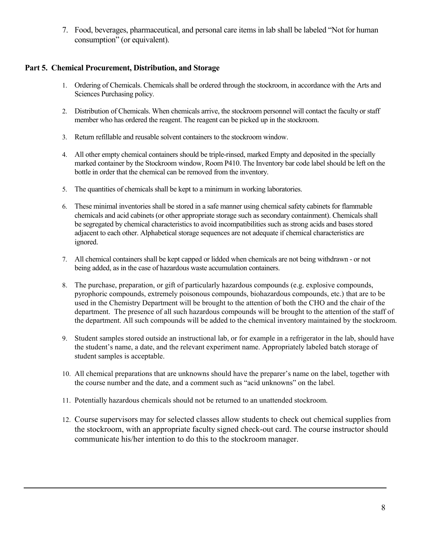7. Food, beverages, pharmaceutical, and personal care items in lab shall be labeled "Not for human consumption" (or equivalent).

#### **Part 5. Chemical Procurement, Distribution, and Storage**

- 1. Ordering of Chemicals. Chemicals shall be ordered through the stockroom, in accordance with the Arts and Sciences Purchasing policy.
- 2. Distribution of Chemicals. When chemicals arrive, the stockroom personnel will contact the faculty or staff member who has ordered the reagent. The reagent can be picked up in the stockroom.
- 3. Return refillable and reusable solvent containers to the stockroom window.
- 4. All other empty chemical containers should be triple-rinsed, marked Empty and deposited in the specially marked container by the Stockroom window, Room P410. The Inventory bar code label should be left on the bottle in order that the chemical can be removed from the inventory.
- 5. The quantities of chemicals shall be kept to a minimum in working laboratories.
- 6. These minimal inventories shall be stored in a safe manner using chemical safety cabinets for flammable chemicals and acid cabinets (or other appropriate storage such as secondary containment). Chemicals shall be segregated by chemical characteristics to avoid incompatibilities such as strong acids and bases stored adjacent to each other. Alphabetical storage sequences are not adequate if chemical characteristics are ignored.
- 7. All chemical containers shall be kept capped or lidded when chemicals are not being withdrawn or not being added, as in the case of hazardous waste accumulation containers.
- 8. The purchase, preparation, or gift of particularly hazardous compounds (e.g. explosive compounds, pyrophoric compounds, extremely poisonous compounds, biohazardous compounds, etc.) that are to be used in the Chemistry Department will be brought to the attention of both the CHO and the chair of the department. The presence of all such hazardous compounds will be brought to the attention of the staff of the department. All such compounds will be added to the chemical inventory maintained by the stockroom.
- 9. Student samples stored outside an instructional lab, or for example in a refrigerator in the lab, should have the student's name, a date, and the relevant experiment name. Appropriately labeled batch storage of student samples is acceptable.
- 10. All chemical preparations that are unknowns should have the preparer's name on the label, together with the course number and the date, and a comment such as "acid unknowns" on the label.
- 11. Potentially hazardous chemicals should not be returned to an unattended stockroom.
- 12. Course supervisors may for selected classes allow students to check out chemical supplies from the stockroom, with an appropriate faculty signed check-out card. The course instructor should communicate his/her intention to do this to the stockroom manager.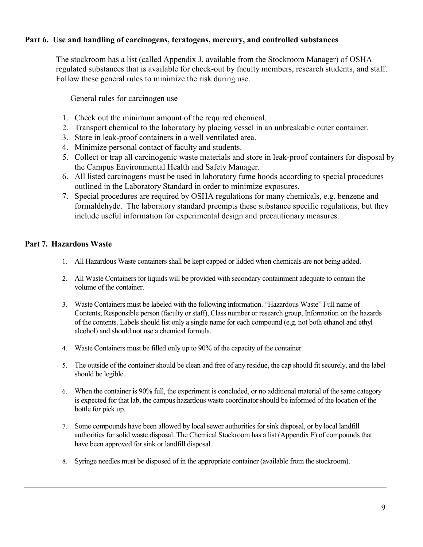#### **Part 6. Use and handling of carcinogens, teratogens, mercury, and controlled substances**

The stockroom has a list (called Appendix J, available from the Stockroom Manager) of OSHA regulated substances that is available for check-out by faculty members, research students, and staff. Follow these general rules to minimize the risk during use.

General rules for carcinogen use

- 1. Check out the minimum amount of the required chemical.
- 2. Transport chemical to the laboratory by placing vessel in an unbreakable outer container.
- 3. Store in leak-proof containers in a well ventilated area.
- 4. Minimize personal contact of faculty and students.
- 5. Collect or trap all carcinogenic waste materials and store in leak-proof containers for disposal by the Campus Environmental Health and Safety Manager.
- 6. All listed carcinogens must be used in laboratory fume hoods according to special procedures outlined in the Laboratory Standard in order to minimize exposures.
- 7. Special procedures are required by OSHA regulations for many chemicals, e.g. benzene and formaldehyde. The laboratory standard preempts these substance specific regulations, but they include useful information for experimental design and precautionary measures.

#### **Part 7. Hazardous Waste**

- 1. All Hazardous Waste containers shall be kept capped or lidded when chemicals are not being added.
- 2. All Waste Containers for liquids will be provided with secondary containment adequate to contain the volume of the container.
- 3. Waste Containers must be labeled with the following information. "Hazardous Waste" Full name of Contents; Responsible person (faculty or staff), Class number or research group, Information on the hazards of the contents. Labels should list only a single name for each compound (e.g. not both ethanol and ethyl alcohol) and should not use a chemical formula.
- 4. Waste Containers must be filled only up to 90% of the capacity of the container.
- 5. The outside of the container should be clean and free of any residue, the cap should fit securely, and the label should be legible.
- 6. When the container is 90% full, the experiment is concluded, or no additional material of the same category is expected for that lab, the campus hazardous waste coordinator should be informed of the location of the bottle for pick up.
- 7. Some compounds have been allowed by local sewer authorities for sink disposal, or by local landfill authorities for solid waste disposal. The Chemical Stockroom has a list (Appendix F) of compounds that have been approved for sink or landfill disposal.
- 8. Syringe needles must be disposed of in the appropriate container (available from the stockroom).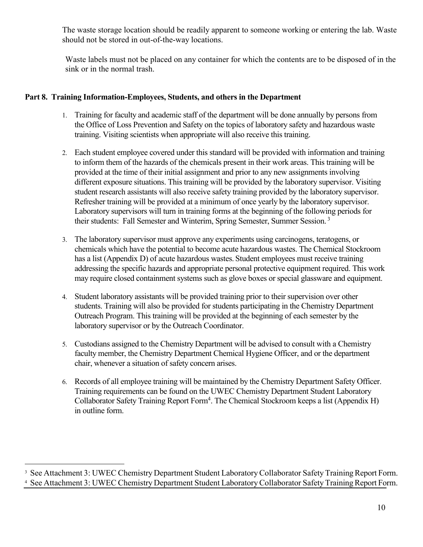The waste storage location should be readily apparent to someone working or entering the lab. Waste should not be stored in out-of-the-way locations.

Waste labels must not be placed on any container for which the contents are to be disposed of in the sink or in the normal trash.

#### **Part 8. Training Information-Employees, Students, and others in the Department**

- 1. Training for faculty and academic staff of the department will be done annually by persons from the Office of Loss Prevention and Safety on the topics of laboratory safety and hazardous waste training. Visiting scientists when appropriate will also receive this training.
- 2. Each student employee covered under this standard will be provided with information and training to inform them of the hazards of the chemicals present in their work areas. This training will be provided at the time of their initial assignment and prior to any new assignments involving different exposure situations. This training will be provided by the laboratory supervisor. Visiting student research assistants will also receive safety training provided by the laboratory supervisor. Refresher training will be provided at a minimum of once yearly by the laboratory supervisor. Laboratory supervisors will turn in training forms at the beginning of the following periods for their students: Fall Semester and Winterim, Spring Semester, Summer Session.<sup>3</sup>
- 3. The laboratory supervisor must approve any experiments using carcinogens, teratogens, or chemicals which have the potential to become acute hazardous wastes. The Chemical Stockroom has a list (Appendix D) of acute hazardous wastes. Student employees must receive training addressing the specific hazards and appropriate personal protective equipment required. This work may require closed containment systems such as glove boxes or special glassware and equipment.
- 4. Student laboratory assistants will be provided training prior to their supervision over other students. Training will also be provided for students participating in the Chemistry Department Outreach Program. This training will be provided at the beginning of each semester by the laboratory supervisor or by the Outreach Coordinator.
- 5. Custodians assigned to the Chemistry Department will be advised to consult with a Chemistry faculty member, the Chemistry Department Chemical Hygiene Officer, and or the department chair, whenever a situation of safety concern arises.
- 6. Records of all employee training will be maintained by the Chemistry Department Safety Officer. Training requirements can be found on the UWEC Chemistry Department Student Laboratory Collaborator Safety Training Report Form<sup>4</sup>. The Chemical Stockroom keeps a list (Appendix H) in outline form.

<sup>&</sup>lt;sup>2</sup><br>3 <sup>3</sup> See Attachment 3: UWEC Chemistry Department Student Laboratory Collaborator Safety Training Report Form.

<sup>4</sup> See Attachment 3: UWEC Chemistry Department Student Laboratory Collaborator Safety Training Report Form.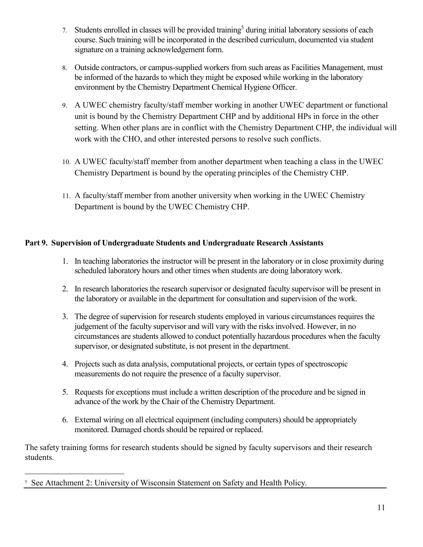- 7. Students enrolled in classes will be provided training<sup>5</sup> during initial laboratory sessions of each course. Such training will be incorporated in the described curriculum, documented via student signature on a training acknowledgement form.
- 8. Outside contractors, or campus-supplied workers from such areas as Facilities Management, must be informed of the hazards to which they might be exposed while working in the laboratory environment by the Chemistry Department Chemical Hygiene Officer.
- 9. A UWEC chemistry faculty/staff member working in another UWEC department or functional unit is bound by the Chemistry Department CHP and by additional HPs in force in the other setting. When other plans are in conflict with the Chemistry Department CHP, the individual will work with the CHO, and other interested persons to resolve such conflicts.
- 10. A UWEC faculty/staff member from another department when teaching a class in the UWEC Chemistry Department is bound by the operating principles of the Chemistry CHP.
- 11. A faculty/staff member from another university when working in the UWEC Chemistry Department is bound by the UWEC Chemistry CHP.

## **Part 9. Supervision of Undergraduate Students and Undergraduate Research Assistants**

- 1. In teaching laboratories the instructor will be present in the laboratory or in close proximity during scheduled laboratory hours and other times when students are doing laboratory work.
- 2. In research laboratories the research supervisor or designated faculty supervisor will be present in the laboratory or available in the department for consultation and supervision of the work.
- 3. The degree of supervision for research students employed in various circumstances requires the judgement of the faculty supervisor and will vary with the risks involved. However, in no circumstances are students allowed to conduct potentially hazardous procedures when the faculty supervisor, or designated substitute, is not present in the department.
- 4. Projects such as data analysis, computational projects, or certain types of spectroscopic measurements do not require the presence of a faculty supervisor.
- 5. Requests for exceptions must include a written description of the procedure and be signed in advance of the work by the Chair of the Chemistry Department.
- 6. External wiring on all electrical equipment (including computers) should be appropriately monitored. Damaged chords should be repaired or replaced.

The safety training forms for research students should be signed by faculty supervisors and their research students.

 <sup>5</sup> <sup>5</sup> See Attachment 2: University of Wisconsin Statement on Safety and Health Policy.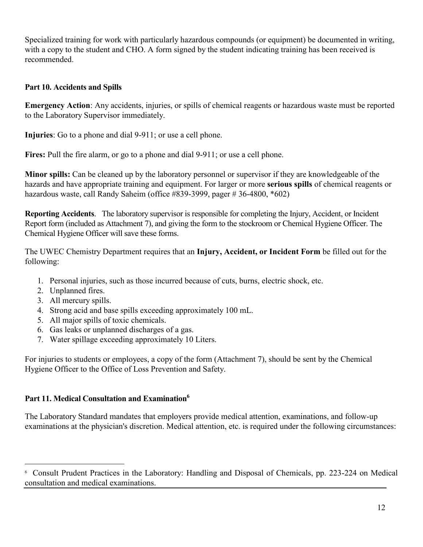Specialized training for work with particularly hazardous compounds (or equipment) be documented in writing, with a copy to the student and CHO. A form signed by the student indicating training has been received is recommended.

#### **Part 10. Accidents and Spills**

**Emergency Action**: Any accidents, injuries, or spills of chemical reagents or hazardous waste must be reported to the Laboratory Supervisor immediately.

**Injuries**: Go to a phone and dial 9-911; or use a cell phone.

**Fires:** Pull the fire alarm, or go to a phone and dial 9-911; or use a cell phone.

**Minor spills:** Can be cleaned up by the laboratory personnel or supervisor if they are knowledgeable of the hazards and have appropriate training and equipment. For larger or more **serious spills** of chemical reagents or hazardous waste, call Randy Saheim (office #839-3999, pager # 36-4800, \*602)

**Reporting Accidents**. The laboratory supervisor is responsible for completing the Injury, Accident, or Incident Report form (included as Attachment 7), and giving the form to the stockroom or Chemical Hygiene Officer. The Chemical Hygiene Officer will save these forms.

The UWEC Chemistry Department requires that an **Injury, Accident, or Incident Form** be filled out for the following:

- 1. Personal injuries, such as those incurred because of cuts, burns, electric shock, etc.
- 2. Unplanned fires.
- 3. All mercury spills.
- 4. Strong acid and base spills exceeding approximately 100 mL.
- 5. All major spills of toxic chemicals.
- 6. Gas leaks or unplanned discharges of a gas.
- 7. Water spillage exceeding approximately 10 Liters.

For injuries to students or employees, a copy of the form (Attachment 7), should be sent by the Chemical Hygiene Officer to the Office of Loss Prevention and Safety.

## **Part 11. Medical Consultation and Examination6**

The Laboratory Standard mandates that employers provide medical attention, examinations, and follow-up examinations at the physician's discretion. Medical attention, etc. is required under the following circumstances:

 <sup>6</sup> Consult Prudent Practices in the Laboratory: Handling and Disposal of Chemicals, pp. 223-224 on Medical consultation and medical examinations.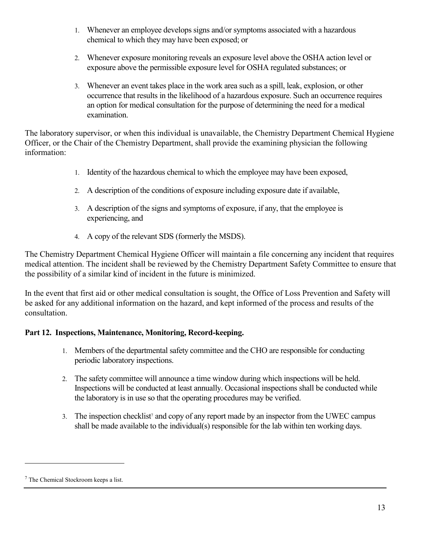- 1. Whenever an employee develops signs and/or symptoms associated with a hazardous chemical to which they may have been exposed; or
- 2. Whenever exposure monitoring reveals an exposure level above the OSHA action level or exposure above the permissible exposure level for OSHA regulated substances; or
- 3. Whenever an event takes place in the work area such as a spill, leak, explosion, or other occurrence that results in the likelihood of a hazardous exposure. Such an occurrence requires an option for medical consultation for the purpose of determining the need for a medical examination.

The laboratory supervisor, or when this individual is unavailable, the Chemistry Department Chemical Hygiene Officer, or the Chair of the Chemistry Department, shall provide the examining physician the following information:

- 1. Identity of the hazardous chemical to which the employee may have been exposed,
- 2. A description of the conditions of exposure including exposure date if available,
- 3. A description of the signs and symptoms of exposure, if any, that the employee is experiencing, and
- 4. A copy of the relevant SDS (formerly the MSDS).

The Chemistry Department Chemical Hygiene Officer will maintain a file concerning any incident that requires medical attention. The incident shall be reviewed by the Chemistry Department Safety Committee to ensure that the possibility of a similar kind of incident in the future is minimized.

In the event that first aid or other medical consultation is sought, the Office of Loss Prevention and Safety will be asked for any additional information on the hazard, and kept informed of the process and results of the consultation.

## **Part 12. Inspections, Maintenance, Monitoring, Record-keeping.**

- 1. Members of the departmental safety committee and the CHO are responsible for conducting periodic laboratory inspections.
- 2. The safety committee will announce a time window during which inspections will be held. Inspections will be conducted at least annually. Occasional inspections shall be conducted while the laboratory is in use so that the operating procedures may be verified.
- 3. The inspection checklist<sup>7</sup> and copy of any report made by an inspector from the UWEC campus shall be made available to the individual(s) responsible for the lab within ten working days.

 $\overline{a}$ 

<sup>7</sup> The Chemical Stockroom keeps a list.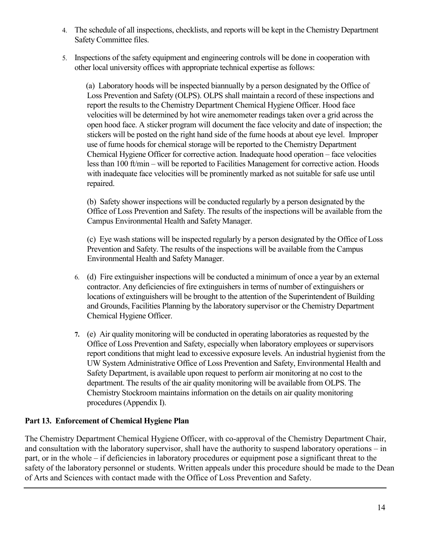- 4. The schedule of all inspections, checklists, and reports will be kept in the Chemistry Department Safety Committee files.
- 5. Inspections of the safety equipment and engineering controls will be done in cooperation with other local university offices with appropriate technical expertise as follows:

 (a) Laboratory hoods will be inspected biannually by a person designated by the Office of Loss Prevention and Safety (OLPS). OLPS shall maintain a record of these inspections and report the results to the Chemistry Department Chemical Hygiene Officer. Hood face velocities will be determined by hot wire anemometer readings taken over a grid across the open hood face. A sticker program will document the face velocity and date of inspection; the stickers will be posted on the right hand side of the fume hoods at about eye level. Improper use of fume hoods for chemical storage will be reported to the Chemistry Department Chemical Hygiene Officer for corrective action. Inadequate hood operation – face velocities less than 100 ft/min – will be reported to Facilities Management for corrective action. Hoods with inadequate face velocities will be prominently marked as not suitable for safe use until repaired.

(b) Safety shower inspections will be conducted regularly by a person designated by the Office of Loss Prevention and Safety. The results of the inspections will be available from the Campus Environmental Health and Safety Manager.

(c) Eye wash stations will be inspected regularly by a person designated by the Office of Loss Prevention and Safety. The results of the inspections will be available from the Campus Environmental Health and Safety Manager.

- 6. (d) Fire extinguisher inspections will be conducted a minimum of once a year by an external contractor. Any deficiencies of fire extinguishers in terms of number of extinguishers or locations of extinguishers will be brought to the attention of the Superintendent of Building and Grounds, Facilities Planning by the laboratory supervisor or the Chemistry Department Chemical Hygiene Officer.
- **7.** (e) Air quality monitoring will be conducted in operating laboratories as requested by the Office of Loss Prevention and Safety, especially when laboratory employees or supervisors report conditions that might lead to excessive exposure levels. An industrial hygienist from the UW System Administrative Office of Loss Prevention and Safety, Environmental Health and Safety Department, is available upon request to perform air monitoring at no cost to the department. The results of the air quality monitoring will be available from OLPS. The Chemistry Stockroom maintains information on the details on air quality monitoring procedures (Appendix I).

## **Part 13. Enforcement of Chemical Hygiene Plan**

The Chemistry Department Chemical Hygiene Officer, with co-approval of the Chemistry Department Chair, and consultation with the laboratory supervisor, shall have the authority to suspend laboratory operations – in part, or in the whole – if deficiencies in laboratory procedures or equipment pose a significant threat to the safety of the laboratory personnel or students. Written appeals under this procedure should be made to the Dean of Arts and Sciences with contact made with the Office of Loss Prevention and Safety.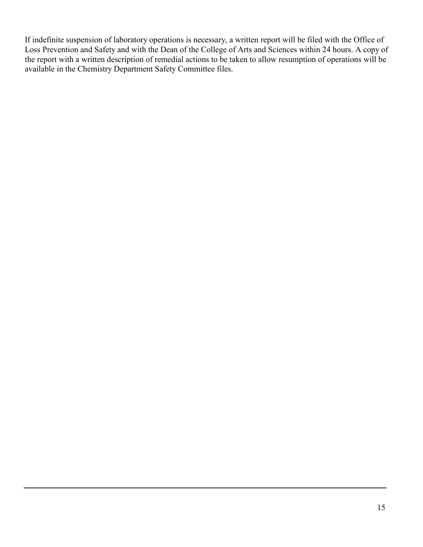If indefinite suspension of laboratory operations is necessary, a written report will be filed with the Office of Loss Prevention and Safety and with the Dean of the College of Arts and Sciences within 24 hours. A copy of the report with a written description of remedial actions to be taken to allow resumption of operations will be available in the Chemistry Department Safety Committee files.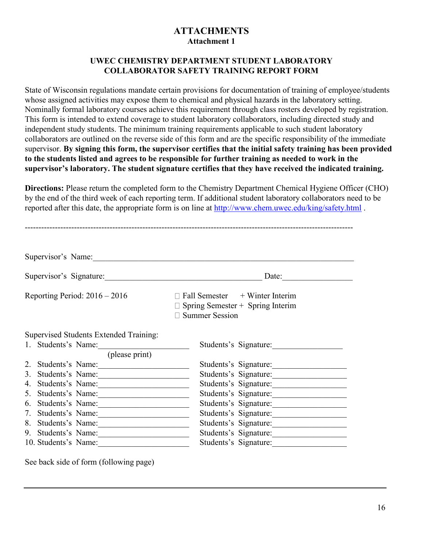## **ATTACHMENTS Attachment 1**

#### **UWEC CHEMISTRY DEPARTMENT STUDENT LABORATORY COLLABORATOR SAFETY TRAINING REPORT FORM**

State of Wisconsin regulations mandate certain provisions for documentation of training of employee/students whose assigned activities may expose them to chemical and physical hazards in the laboratory setting. Nominally formal laboratory courses achieve this requirement through class rosters developed by registration. This form is intended to extend coverage to student laboratory collaborators, including directed study and independent study students. The minimum training requirements applicable to such student laboratory collaborators are outlined on the reverse side of this form and are the specific responsibility of the immediate supervisor. **By signing this form, the supervisor certifies that the initial safety training has been provided to the students listed and agrees to be responsible for further training as needed to work in the supervisor's laboratory. The student signature certifies that they have received the indicated training.**

**Directions:** Please return the completed form to the Chemistry Department Chemical Hygiene Officer (CHO) by the end of the third week of each reporting term. If additional student laboratory collaborators need to be reported after this date, the appropriate form is on line at<http://www.chem.uwec.edu/king/safety.html> .

| Supervisor's Name:                                                                                                                                                                               |                                                                                                                           |  |  |
|--------------------------------------------------------------------------------------------------------------------------------------------------------------------------------------------------|---------------------------------------------------------------------------------------------------------------------------|--|--|
| Supervisor's Signature:                                                                                                                                                                          | Date:<br><u> 1980 - Jan Barbara, martin da kasar A</u>                                                                    |  |  |
| Reporting Period: $2016 - 2016$                                                                                                                                                                  | $\Box$ Fall Semester + Winter Interim<br>Spring Semester + Spring Interim<br><b>Summer Session</b>                        |  |  |
| <b>Supervised Students Extended Training:</b><br>1. Students's Name:<br>(please print)                                                                                                           | Students's Signature:                                                                                                     |  |  |
| 2.<br>Students's Name:<br><u> 1980 - Johann John Stoff, deutscher Stoffen und der Stoffen und der Stoffen und der Stoffen und der Stoffen u</u><br>Students's Name:<br>3.<br>4. Students's Name: | Students's Signature:<br>Students's Signature:<br>Students's Signature:                                                   |  |  |
| Students's Name:<br>5.<br>Students's Name:<br>6.<br>Students's Name:<br>7.<br>8.<br>Students's Name:<br>Students's Name:<br>9.                                                                   | Students's Signature:<br>Students's Signature:<br>Students's Signature:<br>Students's Signature:<br>Students's Signature: |  |  |
| 10. Students's Name:                                                                                                                                                                             | Students's Signature:                                                                                                     |  |  |

------------------------------------------------------------------------------------------------------------------------

See back side of form (following page)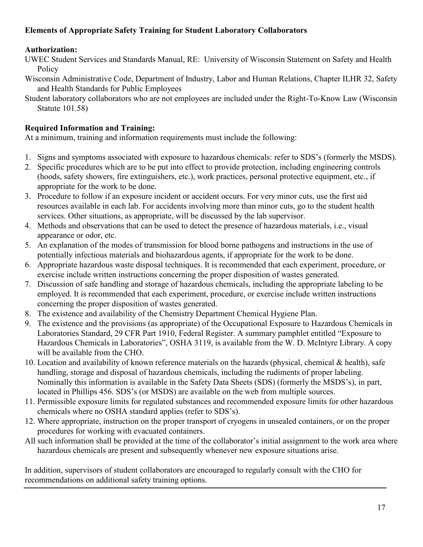## **Elements of Appropriate Safety Training for Student Laboratory Collaborators**

## **Authorization:**

- UWEC Student Services and Standards Manual, RE: University of Wisconsin Statement on Safety and Health **Policy**
- Wisconsin Administrative Code, Department of Industry, Labor and Human Relations, Chapter ILHR 32, Safety and Health Standards for Public Employees
- Student laboratory collaborators who are not employees are included under the Right-To-Know Law (Wisconsin Statute 101.58)

## **Required Information and Training:**

At a minimum, training and information requirements must include the following:

- 1. Signs and symptoms associated with exposure to hazardous chemicals: refer to SDS's (formerly the MSDS).
- 2. Specific procedures which are to be put into effect to provide protection, including engineering controls (hoods, safety showers, fire extinguishers, etc.), work practices, personal protective equipment, etc., if appropriate for the work to be done.
- 3. Procedure to follow if an exposure incident or accident occurs. For very minor cuts, use the first aid resources available in each lab. For accidents involving more than minor cuts, go to the student health services. Other situations, as appropriate, will be discussed by the lab supervisor.
- 4. Methods and observations that can be used to detect the presence of hazardous materials, i.e., visual appearance or odor, etc.
- 5. An explanation of the modes of transmission for blood borne pathogens and instructions in the use of potentially infectious materials and biohazardous agents, if appropriate for the work to be done.
- 6. Appropriate hazardous waste disposal techniques. It is recommended that each experiment, procedure, or exercise include written instructions concerning the proper disposition of wastes generated.
- 7. Discussion of safe handling and storage of hazardous chemicals, including the appropriate labeling to be employed. It is recommended that each experiment, procedure, or exercise include written instructions concerning the proper disposition of wastes generated.
- 8. The existence and availability of the Chemistry Department Chemical Hygiene Plan.
- 9. The existence and the provisions (as appropriate) of the Occupational Exposure to Hazardous Chemicals in Laboratories Standard, 29 CFR Part 1910, Federal Register. A summary pamphlet entitled "Exposure to Hazardous Chemicals in Laboratories", OSHA 3119, is available from the W. D. McIntyre Library. A copy will be available from the CHO.
- 10. Location and availability of known reference materials on the hazards (physical, chemical & health), safe handling, storage and disposal of hazardous chemicals, including the rudiments of proper labeling. Nominally this information is available in the Safety Data Sheets (SDS) (formerly the MSDS's), in part, located in Phillips 456. SDS's (or MSDS) are available on the web from multiple sources.
- 11. Permissible exposure limits for regulated substances and recommended exposure limits for other hazardous chemicals where no OSHA standard applies (refer to SDS's).
- 12. Where appropriate, instruction on the proper transport of cryogens in unsealed containers, or on the proper procedures for working with evacuated containers.
- All such information shall be provided at the time of the collaborator's initial assignment to the work area where hazardous chemicals are present and subsequently whenever new exposure situations arise.

In addition, supervisors of student collaborators are encouraged to regularly consult with the CHO for recommendations on additional safety training options.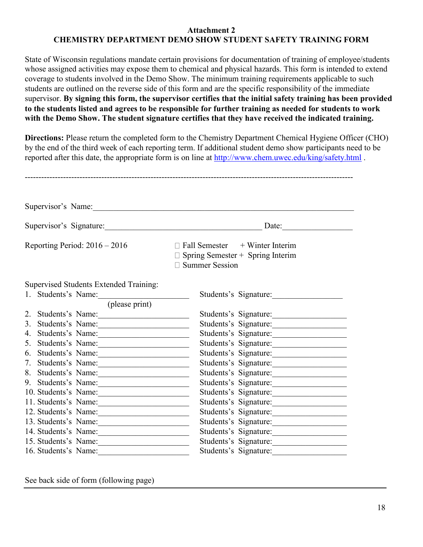#### **Attachment 2 CHEMISTRY DEPARTMENT DEMO SHOW STUDENT SAFETY TRAINING FORM**

State of Wisconsin regulations mandate certain provisions for documentation of training of employee/students whose assigned activities may expose them to chemical and physical hazards. This form is intended to extend coverage to students involved in the Demo Show. The minimum training requirements applicable to such students are outlined on the reverse side of this form and are the specific responsibility of the immediate supervisor. **By signing this form, the supervisor certifies that the initial safety training has been provided to the students listed and agrees to be responsible for further training as needed for students to work with the Demo Show. The student signature certifies that they have received the indicated training.**

**Directions:** Please return the completed form to the Chemistry Department Chemical Hygiene Officer (CHO) by the end of the third week of each reporting term. If additional student demo show participants need to be reported after this date, the appropriate form is on line at<http://www.chem.uwec.edu/king/safety.html> .

|                                 | Supervisor's Name:                     |                                                                                                           |
|---------------------------------|----------------------------------------|-----------------------------------------------------------------------------------------------------------|
| Supervisor's Signature:         |                                        | Date:                                                                                                     |
| Reporting Period: $2016 - 2016$ |                                        | $\Box$ Fall Semester + Winter Interim<br>$\Box$ Spring Semester + Spring Interim<br>$\Box$ Summer Session |
|                                 | Supervised Students Extended Training: |                                                                                                           |
|                                 | 1. Students's Name:                    | Students's Signature:                                                                                     |
|                                 | (please print)                         |                                                                                                           |
|                                 | 2. Students's Name:                    | Students's Signature:                                                                                     |
| 3.                              | Students's Name:                       | Students's Signature:                                                                                     |
| 4.                              | Students's Name:                       | Students's Signature:                                                                                     |
| 5.                              | Students's Name:                       | Students's Signature:                                                                                     |
|                                 | 6. Students's Name:                    | Students's Signature:                                                                                     |
|                                 | 7. Students's Name:                    | Students's Signature:                                                                                     |
|                                 | 8. Students's Name:                    | Students's Signature:                                                                                     |
|                                 | 9. Students's Name:                    | Students's Signature:                                                                                     |
|                                 | 10. Students's Name:                   | Students's Signature:                                                                                     |
|                                 | 11. Students's Name:                   | Students's Signature:                                                                                     |
|                                 | 12. Students's Name:                   | Students's Signature:                                                                                     |
|                                 | 13. Students's Name:                   | Students's Signature:                                                                                     |
|                                 | 14. Students's Name:                   | Students's Signature:                                                                                     |
|                                 | 15. Students's Name:                   | Students's Signature:                                                                                     |
|                                 | 16. Students's Name:                   | Students's Signature:                                                                                     |

See back side of form (following page)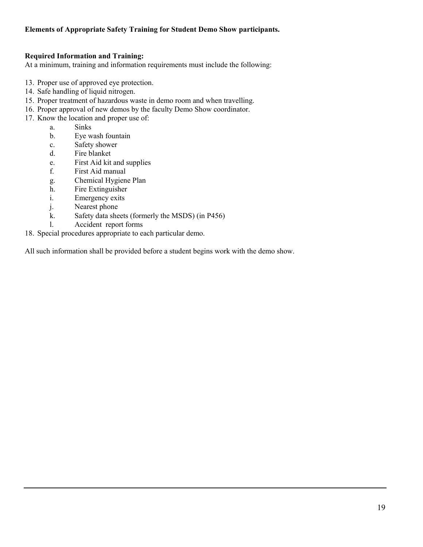#### **Elements of Appropriate Safety Training for Student Demo Show participants.**

#### **Required Information and Training:**

At a minimum, training and information requirements must include the following:

- 13. Proper use of approved eye protection.
- 14. Safe handling of liquid nitrogen.
- 15. Proper treatment of hazardous waste in demo room and when travelling.
- 16. Proper approval of new demos by the faculty Demo Show coordinator.
- 17. Know the location and proper use of:
	- a. Sinks
	- b. Eye wash fountain
	- c. Safety shower
	- d. Fire blanket
	- e. First Aid kit and supplies
	- f. First Aid manual
	- g. Chemical Hygiene Plan
	- h. Fire Extinguisher
	- i. Emergency exits
	- j. Nearest phone
	- k. Safety data sheets (formerly the MSDS) (in P456)
	- l. Accident report forms
- 18. Special procedures appropriate to each particular demo.

All such information shall be provided before a student begins work with the demo show.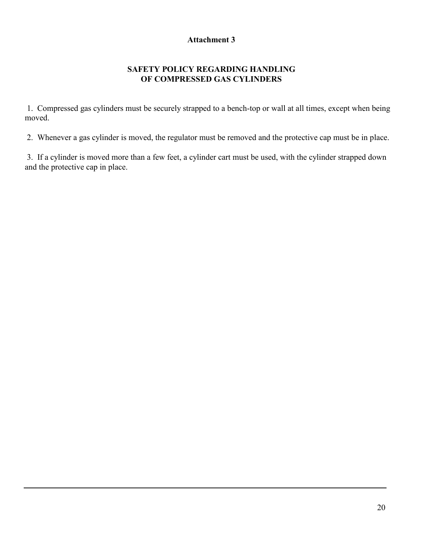#### **SAFETY POLICY REGARDING HANDLING OF COMPRESSED GAS CYLINDERS**

1. Compressed gas cylinders must be securely strapped to a bench-top or wall at all times, except when being moved.

2. Whenever a gas cylinder is moved, the regulator must be removed and the protective cap must be in place.

3. If a cylinder is moved more than a few feet, a cylinder cart must be used, with the cylinder strapped down and the protective cap in place.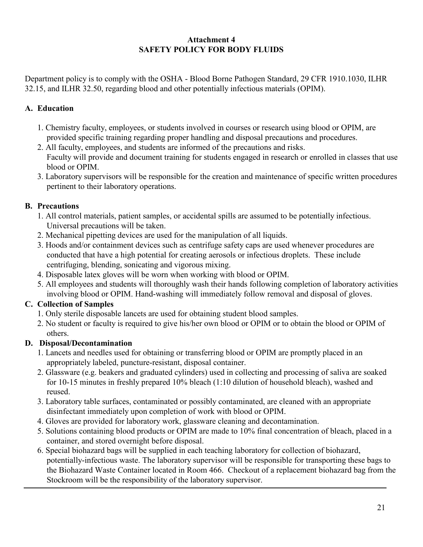#### **Attachment 4 SAFETY POLICY FOR BODY FLUIDS**

Department policy is to comply with the OSHA - Blood Borne Pathogen Standard, 29 CFR 1910.1030, ILHR 32.15, and ILHR 32.50, regarding blood and other potentially infectious materials (OPIM).

## **A. Education**

- 1. Chemistry faculty, employees, or students involved in courses or research using blood or OPIM, are provided specific training regarding proper handling and disposal precautions and procedures.
- 2. All faculty, employees, and students are informed of the precautions and risks. Faculty will provide and document training for students engaged in research or enrolled in classes that use blood or OPIM.
- 3. Laboratory supervisors will be responsible for the creation and maintenance of specific written procedures pertinent to their laboratory operations.

## **B. Precautions**

- 1. All control materials, patient samples, or accidental spills are assumed to be potentially infectious. Universal precautions will be taken.
- 2. Mechanical pipetting devices are used for the manipulation of all liquids.
- 3. Hoods and/or containment devices such as centrifuge safety caps are used whenever procedures are conducted that have a high potential for creating aerosols or infectious droplets. These include centrifuging, blending, sonicating and vigorous mixing.
- 4. Disposable latex gloves will be worn when working with blood or OPIM.
- 5. All employees and students will thoroughly wash their hands following completion of laboratory activities involving blood or OPIM. Hand-washing will immediately follow removal and disposal of gloves.

## **C. Collection of Samples**

- 1. Only sterile disposable lancets are used for obtaining student blood samples.
- 2. No student or faculty is required to give his/her own blood or OPIM or to obtain the blood or OPIM of others.

## **D. Disposal/Decontamination**

- 1. Lancets and needles used for obtaining or transferring blood or OPIM are promptly placed in an appropriately labeled, puncture-resistant, disposal container.
- 2. Glassware (e.g. beakers and graduated cylinders) used in collecting and processing of saliva are soaked for 10-15 minutes in freshly prepared 10% bleach (1:10 dilution of household bleach), washed and reused.
- 3. Laboratory table surfaces, contaminated or possibly contaminated, are cleaned with an appropriate disinfectant immediately upon completion of work with blood or OPIM.
- 4. Gloves are provided for laboratory work, glassware cleaning and decontamination.
- 5. Solutions containing blood products or OPIM are made to 10% final concentration of bleach, placed in a container, and stored overnight before disposal.
- 6. Special biohazard bags will be supplied in each teaching laboratory for collection of biohazard, potentially-infectious waste. The laboratory supervisor will be responsible for transporting these bags to the Biohazard Waste Container located in Room 466. Checkout of a replacement biohazard bag from the Stockroom will be the responsibility of the laboratory supervisor.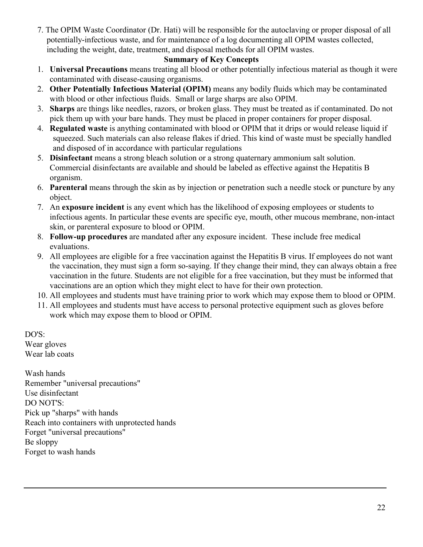7. The OPIM Waste Coordinator (Dr. Hati) will be responsible for the autoclaving or proper disposal of all potentially-infectious waste, and for maintenance of a log documenting all OPIM wastes collected, including the weight, date, treatment, and disposal methods for all OPIM wastes.

#### **Summary of Key Concepts**

- 1. **Universal Precautions** means treating all blood or other potentially infectious material as though it were contaminated with disease-causing organisms.
- 2. **Other Potentially Infectious Material (OPIM)** means any bodily fluids which may be contaminated with blood or other infectious fluids. Small or large sharps are also OPIM.
- 3. **Sharps** are things like needles, razors, or broken glass. They must be treated as if contaminated. Do not pick them up with your bare hands. They must be placed in proper containers for proper disposal.
- 4. **Regulated waste** is anything contaminated with blood or OPIM that it drips or would release liquid if squeezed. Such materials can also release flakes if dried. This kind of waste must be specially handled and disposed of in accordance with particular regulations
- 5. **Disinfectant** means a strong bleach solution or a strong quaternary ammonium salt solution. Commercial disinfectants are available and should be labeled as effective against the Hepatitis B organism.
- 6. **Parenteral** means through the skin as by injection or penetration such a needle stock or puncture by any object.
- 7. An **exposure incident** is any event which has the likelihood of exposing employees or students to infectious agents. In particular these events are specific eye, mouth, other mucous membrane, non-intact skin, or parenteral exposure to blood or OPIM.
- 8. **Follow-up procedures** are mandated after any exposure incident. These include free medical evaluations.
- 9. All employees are eligible for a free vaccination against the Hepatitis B virus. If employees do not want the vaccination, they must sign a form so-saying. If they change their mind, they can always obtain a free vaccination in the future. Students are not eligible for a free vaccination, but they must be informed that vaccinations are an option which they might elect to have for their own protection.
- 10. All employees and students must have training prior to work which may expose them to blood or OPIM.
- 11. All employees and students must have access to personal protective equipment such as gloves before work which may expose them to blood or OPIM.

DO'S: Wear gloves Wear lab coats

Wash hands Remember "universal precautions" Use disinfectant DO NOT'S: Pick up "sharps" with hands Reach into containers with unprotected hands Forget "universal precautions" Be sloppy Forget to wash hands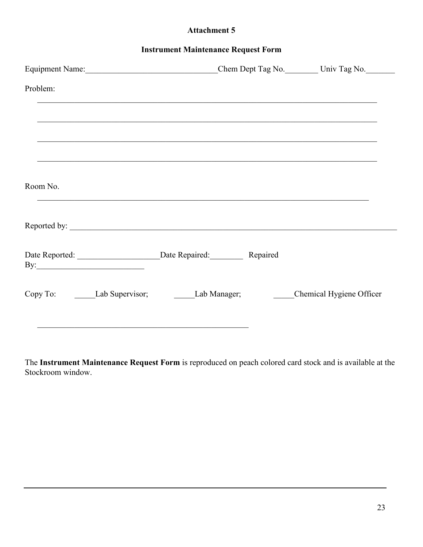| <b>Instrument Maintenance Request Form</b> |
|--------------------------------------------|
|--------------------------------------------|

| Problem:                                                                                  |  |  |
|-------------------------------------------------------------------------------------------|--|--|
|                                                                                           |  |  |
|                                                                                           |  |  |
|                                                                                           |  |  |
| Room No.                                                                                  |  |  |
| Reported by:                                                                              |  |  |
| By: $\qquad \qquad$                                                                       |  |  |
| Copy To: ________Lab Supervisor; __________Lab Manager; _________Chemical Hygiene Officer |  |  |
|                                                                                           |  |  |

The **Instrument Maintenance Request Form** is reproduced on peach colored card stock and is available at the Stockroom window.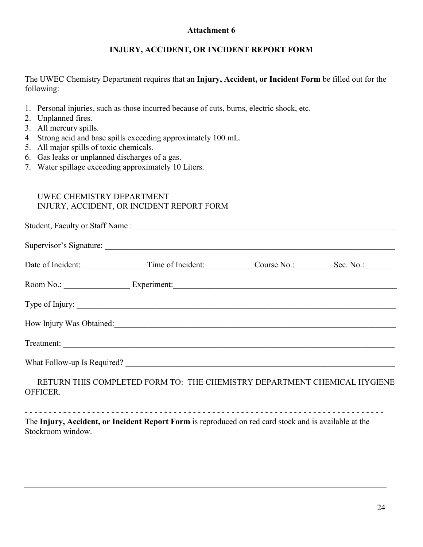#### **INJURY, ACCIDENT, OR INCIDENT REPORT FORM**

The UWEC Chemistry Department requires that an **Injury, Accident, or Incident Form** be filled out for the following:

- 1. Personal injuries, such as those incurred because of cuts, burns, electric shock, etc.
- 2. Unplanned fires.
- 3. All mercury spills.
- 4. Strong acid and base spills exceeding approximately 100 mL.
- 5. All major spills of toxic chemicals.
- 6. Gas leaks or unplanned discharges of a gas.
- 7. Water spillage exceeding approximately 10 Liters.

## UWEC CHEMISTRY DEPARTMENT INJURY, ACCIDENT, OR INCIDENT REPORT FORM

|  | Date of Incident: Time of Incident: Course No.: Sec. No.: Sec. No.:                                                                                                                                                            |  |  |
|--|--------------------------------------------------------------------------------------------------------------------------------------------------------------------------------------------------------------------------------|--|--|
|  |                                                                                                                                                                                                                                |  |  |
|  | Type of Injury:                                                                                                                                                                                                                |  |  |
|  | How Injury Was Obtained: 1986 March 2008 March 2010 March 2010 March 2010 March 2010 March 2010 March 2010 March 2010 March 2010 March 2010 March 2010 March 2010 March 2010 March 2010 March 2010 March 2010 March 2010 March |  |  |
|  | Treatment:                                                                                                                                                                                                                     |  |  |
|  |                                                                                                                                                                                                                                |  |  |
|  | <u>DETUDM THIS COMDI ETED EODM TO. THE CHEMISTDY DEDADTMENT CHEMICAL HVCIENE</u>                                                                                                                                               |  |  |

RETURN THIS COMPLETED FORM TO: THE CHEMISTRY DEPARTMENT CHEMICAL HYGIENE OFFICER.

- - - - - - - - - - - - - - - - - - - - - - - - - - - - - - - - - - - - - - - - - - - - - - - - - - - - - - - - - - - - - - - - - - - - - - - - - - - The **Injury, Accident, or Incident Report Form** is reproduced on red card stock and is available at the Stockroom window.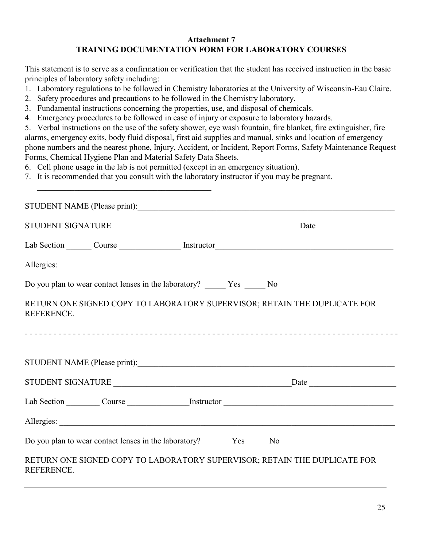#### **Attachment 7 TRAINING DOCUMENTATION FORM FOR LABORATORY COURSES**

This statement is to serve as a confirmation or verification that the student has received instruction in the basic principles of laboratory safety including:

- 1. Laboratory regulations to be followed in Chemistry laboratories at the University of Wisconsin-Eau Claire.
- 2. Safety procedures and precautions to be followed in the Chemistry laboratory.
- 3. Fundamental instructions concerning the properties, use, and disposal of chemicals.
- 4. Emergency procedures to be followed in case of injury or exposure to laboratory hazards.

5. Verbal instructions on the use of the safety shower, eye wash fountain, fire blanket, fire extinguisher, fire alarms, emergency exits, body fluid disposal, first aid supplies and manual, sinks and location of emergency phone numbers and the nearest phone, Injury, Accident, or Incident, Report Forms, Safety Maintenance Request Forms, Chemical Hygiene Plan and Material Safety Data Sheets.

6. Cell phone usage in the lab is not permitted (except in an emergency situation).

 $\mathcal{L}_\text{max}$  , where  $\mathcal{L}_\text{max}$  and  $\mathcal{L}_\text{max}$  and  $\mathcal{L}_\text{max}$  and  $\mathcal{L}_\text{max}$ 

7. It is recommended that you consult with the laboratory instructor if you may be pregnant.

| STUDENT NAME (Please print):                                                                   |  |
|------------------------------------------------------------------------------------------------|--|
|                                                                                                |  |
|                                                                                                |  |
|                                                                                                |  |
| Do you plan to wear contact lenses in the laboratory? _______ Yes ______ No                    |  |
| RETURN ONE SIGNED COPY TO LABORATORY SUPERVISOR; RETAIN THE DUPLICATE FOR<br><b>REFERENCE.</b> |  |
|                                                                                                |  |
|                                                                                                |  |
| Lab Section Course Course Instructor                                                           |  |
|                                                                                                |  |
| Do you plan to wear contact lenses in the laboratory? ________ Yes _______ No                  |  |
| RETURN ONE SIGNED COPY TO LABORATORY SUPERVISOR; RETAIN THE DUPLICATE FOR<br>REFERENCE.        |  |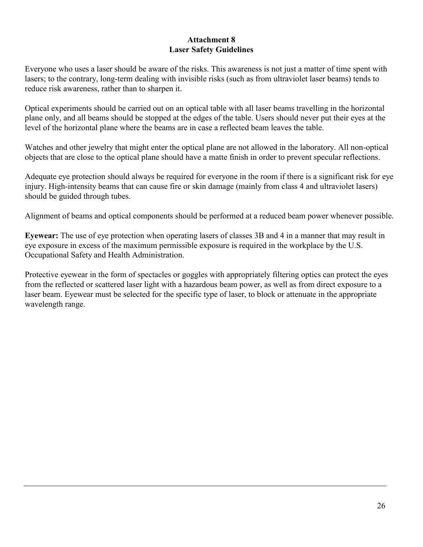#### **Attachment 8 Laser Safety Guidelines**

Everyone who uses a laser should be aware of the risks. This awareness is not just a matter of time spent with lasers; to the contrary, long-term dealing with invisible risks (such as from ultraviolet laser beams) tends to reduce risk awareness, rather than to sharpen it.

Optical experiments should be carried out on an optical table with all laser beams travelling in the horizontal plane only, and all beams should be stopped at the edges of the table. Users should never put their eyes at the level of the horizontal plane where the beams are in case a reflected beam leaves the table.

Watches and other jewelry that might enter the optical plane are not allowed in the laboratory. All non-optical objects that are close to the optical plane should have a matte finish in order to prevent specular reflections.

Adequate eye protection should always be required for everyone in the room if there is a significant risk for eye injury. High-intensity beams that can cause fire or skin damage (mainly from class 4 and ultraviolet lasers) should be guided through tubes.

Alignment of beams and optical components should be performed at a reduced beam power whenever possible.

**Eyewear:** The use of eye protection when operating lasers of classes 3B and 4 in a manner that may result in eye exposure in excess of the maximum permissible exposure is required in the workplace by the U.S. Occupational Safety and Health Administration.

Protective eyewear in the form of spectacles or goggles with appropriately filtering optics can protect the eyes from the reflected or scattered laser light with a hazardous beam power, as well as from direct exposure to a laser beam. Eyewear must be selected for the specific type of laser, to block or attenuate in the appropriate wavelength range.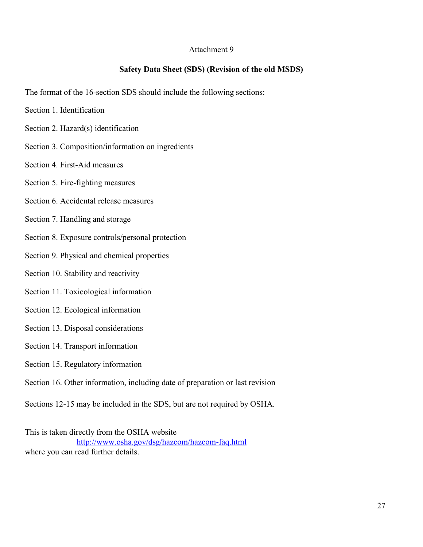#### **Safety Data Sheet (SDS) (Revision of the old MSDS)**

The format of the 16-section SDS should include the following sections:

- Section 1. Identification
- Section 2. Hazard(s) identification
- Section 3. Composition/information on ingredients
- Section 4. First-Aid measures
- Section 5. Fire-fighting measures
- Section 6. Accidental release measures
- Section 7. Handling and storage
- Section 8. Exposure controls/personal protection
- Section 9. Physical and chemical properties
- Section 10. Stability and reactivity
- Section 11. Toxicological information
- Section 12. Ecological information
- Section 13. Disposal considerations
- Section 14. Transport information
- Section 15. Regulatory information
- Section 16. Other information, including date of preparation or last revision
- Sections 12-15 may be included in the SDS, but are not required by OSHA.

This is taken directly from the OSHA website <http://www.osha.gov/dsg/hazcom/hazcom-faq.html> where you can read further details.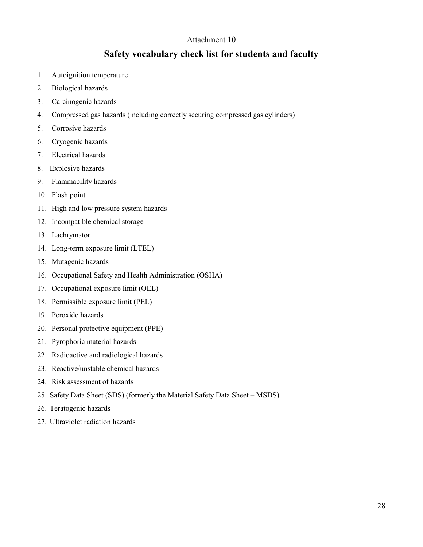## **Safety vocabulary check list for students and faculty**

- 1. Autoignition temperature
- 2. Biological hazards
- 3. Carcinogenic hazards
- 4. Compressed gas hazards (including correctly securing compressed gas cylinders)
- 5. Corrosive hazards
- 6. Cryogenic hazards
- 7. Electrical hazards
- 8. Explosive hazards
- 9. Flammability hazards
- 10. Flash point
- 11. High and low pressure system hazards
- 12. Incompatible chemical storage
- 13. Lachrymator
- 14. Long-term exposure limit (LTEL)
- 15. Mutagenic hazards
- 16. Occupational Safety and Health Administration (OSHA)
- 17. Occupational exposure limit (OEL)
- 18. Permissible exposure limit (PEL)
- 19. Peroxide hazards
- 20. Personal protective equipment (PPE)
- 21. Pyrophoric material hazards
- 22. Radioactive and radiological hazards
- 23. Reactive/unstable chemical hazards
- 24. Risk assessment of hazards
- 25. Safety Data Sheet (SDS) (formerly the Material Safety Data Sheet MSDS)
- 26. Teratogenic hazards
- 27. Ultraviolet radiation hazards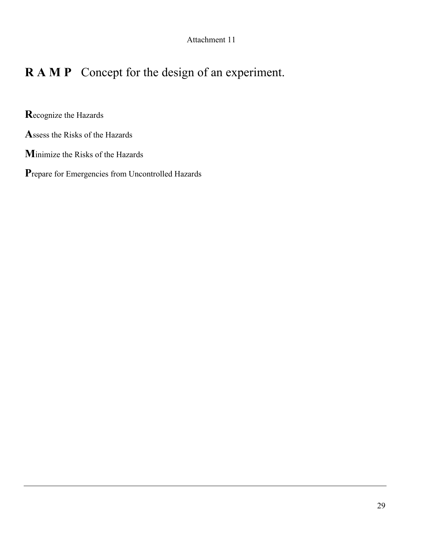## **R A M P** Concept for the design of an experiment.

**R**ecognize the Hazards

**A**ssess the Risks of the Hazards

**M**inimize the Risks of the Hazards

**P**repare for Emergencies from Uncontrolled Hazards